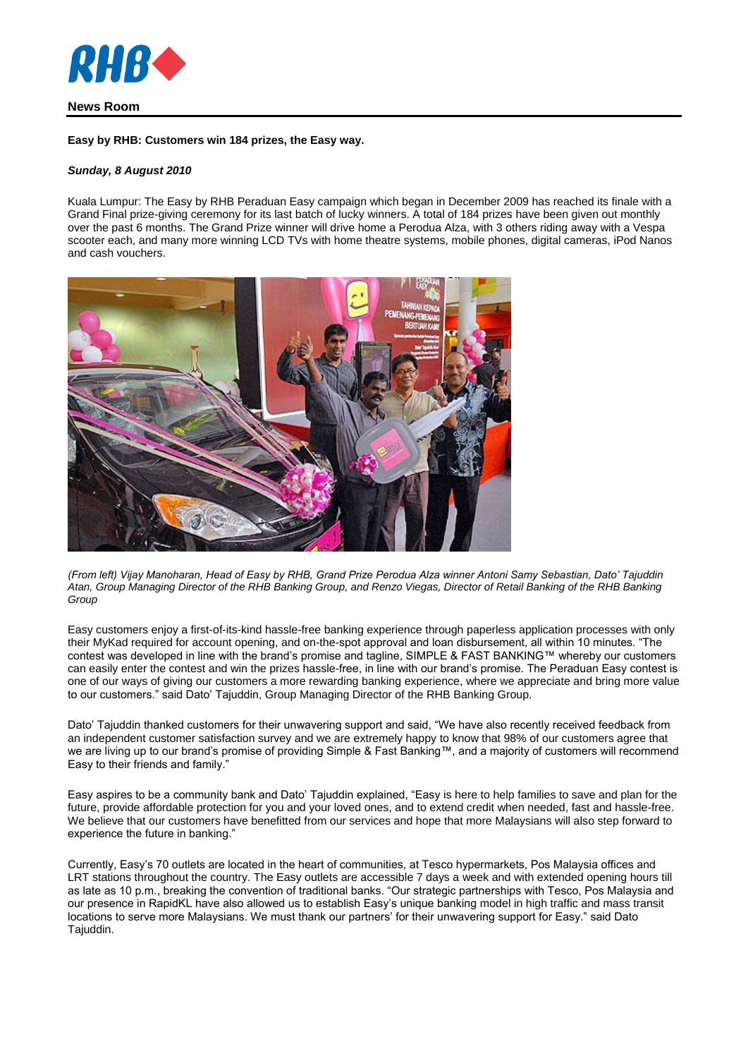

# **News Room**

### **Easy by RHB: Customers win 184 prizes, the Easy way.**

## *Sunday, 8 August 2010*

Kuala Lumpur: The Easy by RHB Peraduan Easy campaign which began in December 2009 has reached its finale with a Grand Final prize-giving ceremony for its last batch of lucky winners. A total of 184 prizes have been given out monthly over the past 6 months. The Grand Prize winner will drive home a Perodua Alza, with 3 others riding away with a Vespa scooter each, and many more winning LCD TVs with home theatre systems, mobile phones, digital cameras, iPod Nanos and cash vouchers.



*(From left) Vijay Manoharan, Head of Easy by RHB, Grand Prize Perodua Alza winner Antoni Samy Sebastian, Dato' Tajuddin Atan, Group Managing Director of the RHB Banking Group, and Renzo Viegas, Director of Retail Banking of the RHB Banking Group*

Easy customers enjoy a first-of-its-kind hassle-free banking experience through paperless application processes with only their MyKad required for account opening, and on-the-spot approval and loan disbursement, all within 10 minutes. "The contest was developed in line with the brand's promise and tagline, SIMPLE & FAST BANKING™ whereby our customers can easily enter the contest and win the prizes hassle-free, in line with our brand's promise. The Peraduan Easy contest is one of our ways of giving our customers a more rewarding banking experience, where we appreciate and bring more value to our customers." said Dato' Tajuddin, Group Managing Director of the RHB Banking Group.

Dato' Tajuddin thanked customers for their unwavering support and said, "We have also recently received feedback from an independent customer satisfaction survey and we are extremely happy to know that 98% of our customers agree that we are living up to our brand's promise of providing Simple & Fast Banking™, and a majority of customers will recommend Easy to their friends and family."

Easy aspires to be a community bank and Dato' Tajuddin explained, "Easy is here to help families to save and plan for the future, provide affordable protection for you and your loved ones, and to extend credit when needed, fast and hassle-free. We believe that our customers have benefitted from our services and hope that more Malaysians will also step forward to experience the future in banking."

Currently, Easy's 70 outlets are located in the heart of communities, at Tesco hypermarkets, Pos Malaysia offices and LRT stations throughout the country. The Easy outlets are accessible 7 days a week and with extended opening hours till as late as 10 p.m., breaking the convention of traditional banks. "Our strategic partnerships with Tesco, Pos Malaysia and our presence in RapidKL have also allowed us to establish Easy's unique banking model in high traffic and mass transit locations to serve more Malaysians. We must thank our partners' for their unwavering support for Easy." said Dato Tajuddin.